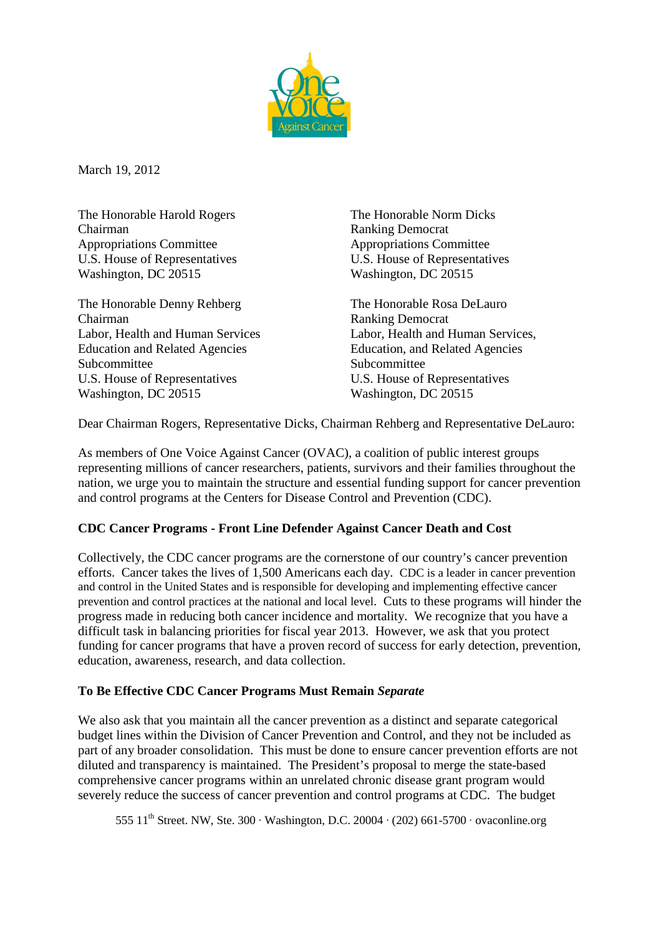

March 19, 2012

The Honorable Harold Rogers The Honorable Norm Dicks Chairman Ranking Democrat Appropriations Committee Appropriations Committee U.S. House of Representatives<br>
Washington, DC 20515<br>
Washington, DC 20515

The Honorable Denny Rehberg The Honorable Rosa DeLauro Chairman Ranking Democrat Education and Related Agencies Education, and Related Agencies Subcommittee Subcommittee Subcommittee Subcommittee Subcommittee Subcommittee Subcommittee Subcommittee Subcommittee Subcommittee Subcommittee Subcommittee Subcommittee Subcommittee Subcommittee Subcommittee Subcommittee S U.S. House of Representatives U.S. House of Representatives Washington, DC 20515 Washington, DC 20515

Washington, DC 20515

Labor, Health and Human Services Labor, Health and Human Services,

Dear Chairman Rogers, Representative Dicks, Chairman Rehberg and Representative DeLauro:

As members of One Voice Against Cancer (OVAC), a coalition of public interest groups representing millions of cancer researchers, patients, survivors and their families throughout the nation, we urge you to maintain the structure and essential funding support for cancer prevention and control programs at the Centers for Disease Control and Prevention (CDC).

# **CDC Cancer Programs - Front Line Defender Against Cancer Death and Cost**

Collectively, the CDC cancer programs are the cornerstone of our country's cancer prevention efforts. Cancer takes the lives of 1,500 Americans each day. CDC is a leader in cancer prevention and control in the United States and is responsible for developing and implementing effective cancer prevention and control practices at the national and local level. Cuts to these programs will hinder the progress made in reducing both cancer incidence and mortality. We recognize that you have a difficult task in balancing priorities for fiscal year 2013. However, we ask that you protect funding for cancer programs that have a proven record of success for early detection, prevention, education, awareness, research, and data collection.

#### **To Be Effective CDC Cancer Programs Must Remain** *Separate*

We also ask that you maintain all the cancer prevention as a distinct and separate categorical budget lines within the Division of Cancer Prevention and Control, and they not be included as part of any broader consolidation. This must be done to ensure cancer prevention efforts are not diluted and transparency is maintained. The President's proposal to merge the state-based comprehensive cancer programs within an unrelated chronic disease grant program would severely reduce the success of cancer prevention and control programs at CDC. The budget

555  $11<sup>th</sup>$  Street. NW, Ste. 300 · Washington, D.C. 20004 · (202) 661-5700 · ovaconline.org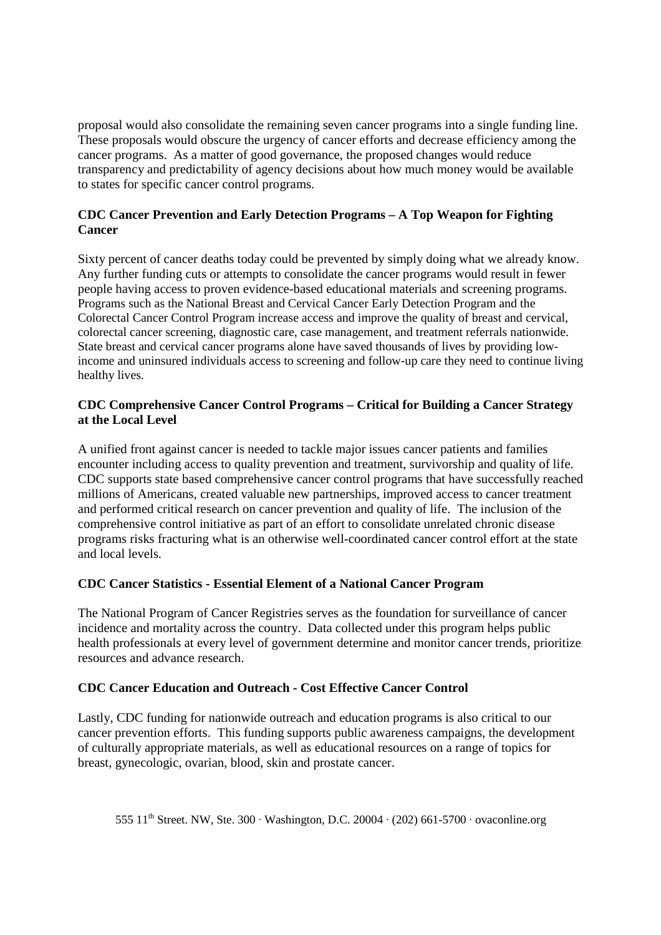proposal would also consolidate the remaining seven cancer programs into a single funding line. These proposals would obscure the urgency of cancer efforts and decrease efficiency among the cancer programs. As a matter of good governance, the proposed changes would reduce transparency and predictability of agency decisions about how much money would be available to states for specific cancer control programs.

## **CDC Cancer Prevention and Early Detection Programs – A Top Weapon for Fighting Cancer**

Sixty percent of cancer deaths today could be prevented by simply doing what we already know. Any further funding cuts or attempts to consolidate the cancer programs would result in fewer people having access to proven evidence-based educational materials and screening programs. Programs such as the National Breast and Cervical Cancer Early Detection Program and the Colorectal Cancer Control Program increase access and improve the quality of breast and cervical, colorectal cancer screening, diagnostic care, case management, and treatment referrals nationwide. State breast and cervical cancer programs alone have saved thousands of lives by providing lowincome and uninsured individuals access to screening and follow-up care they need to continue living healthy lives.

## **CDC Comprehensive Cancer Control Programs – Critical for Building a Cancer Strategy at the Local Level**

A unified front against cancer is needed to tackle major issues cancer patients and families encounter including access to quality prevention and treatment, survivorship and quality of life. CDC supports state based comprehensive cancer control programs that have successfully reached millions of Americans, created valuable new partnerships, improved access to cancer treatment and performed critical research on cancer prevention and quality of life. The inclusion of the comprehensive control initiative as part of an effort to consolidate unrelated chronic disease programs risks fracturing what is an otherwise well-coordinated cancer control effort at the state and local levels.

# **CDC Cancer Statistics - Essential Element of a National Cancer Program**

The National Program of Cancer Registries serves as the foundation for surveillance of cancer incidence and mortality across the country. Data collected under this program helps public health professionals at every level of government determine and monitor cancer trends, prioritize resources and advance research.

#### **CDC Cancer Education and Outreach - Cost Effective Cancer Control**

Lastly, CDC funding for nationwide outreach and education programs is also critical to our cancer prevention efforts. This funding supports public awareness campaigns, the development of culturally appropriate materials, as well as educational resources on a range of topics for breast, gynecologic, ovarian, blood, skin and prostate cancer.